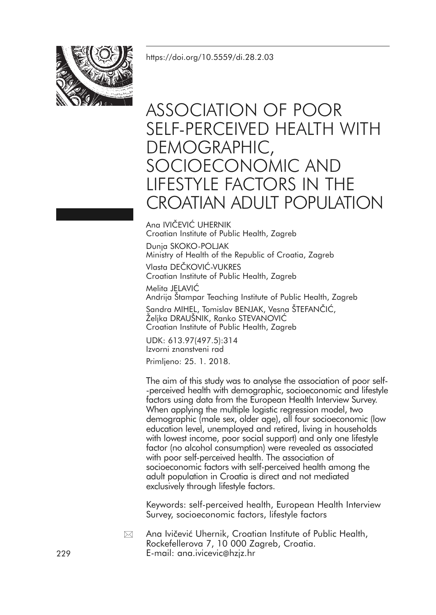<https://doi.org/10.5559/di.28.2.03>



# ASSOCIATION OF POOR SELF-PERCEIVED HEALTH WITH DEMOGRAPHIC, SOCIOECONOMIC AND LIFESTYLE FACTORS IN THE CROATIAN ADULT POPULATION

Ana IVIČEVIĆ UHERNIK Croatian Institute of Public Health, Zagreb

Dunja SKOKO-POLJAK Ministry of Health of the Republic of Croatia, Zagreb

Vlasta DEČKOVIĆ-VUKRES Croatian Institute of Public Health, Zagreb

Melita JELAVIĆ Andrija Štampar Teaching Institute of Public Health, Zagreb Sandra MIHEL, Tomislav BENJAK, Vesna ŠTEFANČIĆ, Željka DRAUŠNIK, Ranko STEVANOVIĆ Croatian Institute of Public Health, Zagreb

UDK: 613.97(497.5):314 Izvorni znanstveni rad

Primljeno: 25. 1. 2018.

The aim of this study was to analyse the association of poor self- -perceived health with demographic, socioeconomic and lifestyle factors using data from the European Health Interview Survey. When applying the multiple logistic regression model, two demographic (male sex, older age), all four socioeconomic (low education level, unemployed and retired, living in households with lowest income, poor social support) and only one lifestyle factor (no alcohol consumption) were revealed as associated with poor self-perceived health. The association of socioeconomic factors with self-perceived health among the adult population in Croatia is direct and not mediated exclusively through lifestyle factors.

Keywords: self-perceived health, European Health Interview Survey, socioeconomic factors, lifestyle factors

Ana Ivičević Uhernik, Croatian Institute of Public Health, Rockefellerova 7, 10 000 Zagreb, Croatia. E-mail: ana.ivicevic@hzjz.hr  $\boxtimes$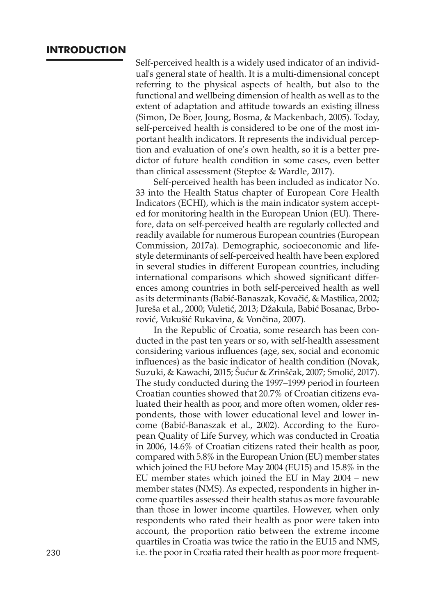## **INTRODUCTION**

Self-perceived health is a widely used indicator of an individual's general state of health. It is a multi-dimensional concept referring to the physical aspects of health, but also to the functional and wellbeing dimension of health as well as to the extent of adaptation and attitude towards an existing illness (Simon, De Boer, Joung, Bosma, & Mackenbach, 2005). Today, self-perceived health is considered to be one of the most important health indicators. It represents the individual perception and evaluation of one's own health, so it is a better predictor of future health condition in some cases, even better than clinical assessment (Steptoe & Wardle, 2017).

Self-perceived health has been included as indicator No. 33 into the Health Status chapter of European Core Health Indicators (ECHI), which is the main indicator system accepted for monitoring health in the European Union (EU). Therefore, data on self-perceived health are regularly collected and readily available for numerous European countries (European Commission, 2017a). Demographic, socioeconomic and lifestyle determinants of self-perceived health have been explored in several studies in different European countries, including international comparisons which showed significant differences among countries in both self-perceived health as well as its determinants (Babić-Banaszak, Kovačić, & Mastilica, 2002; Jureša et al., 2000; Vuletić, 2013; Džakula, Babić Bosanac, Brborović, Vukušić Rukavina, & Vončina, 2007).

In the Republic of Croatia, some research has been conducted in the past ten years or so, with self-health assessment considering various influences (age, sex, social and economic influences) as the basic indicator of health condition (Novak, Suzuki, & Kawachi, 2015; Šućur & Zrinščak, 2007; Smolić, 2017). The study conducted during the 1997–1999 period in fourteen Croatian counties showed that 20.7% of Croatian citizens evaluated their health as poor, and more often women, older respondents, those with lower educational level and lower income (Babić-Banaszak et al., 2002). According to the European Quality of Life Survey, which was conducted in Croatia in 2006, 14.6% of Croatian citizens rated their health as poor, compared with 5.8% in the European Union (EU) member states which joined the EU before May 2004 (EU15) and 15.8% in the EU member states which joined the EU in May 2004 – new member states (NMS). As expected, respondents in higher income quartiles assessed their health status as more favourable than those in lower income quartiles. However, when only respondents who rated their health as poor were taken into account, the proportion ratio between the extreme income quartiles in Croatia was twice the ratio in the EU15 and NMS, 230 i.e. the poorin Croatia rated their health as poor more frequent-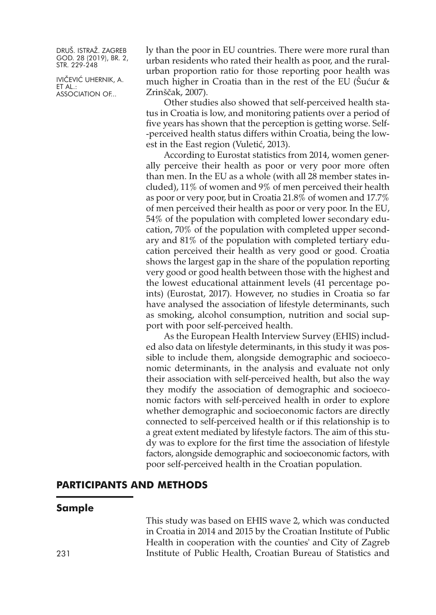IVIČEVIĆ UHERNIK, A. ET AL.: ASSOCIATION OF...

ly than the poor in EU countries. There were more rural than urban residents who rated their health as poor, and the ruralurban proportion ratio for those reporting poor health was much higher in Croatia than in the rest of the EU (Sućur  $\&$ Zrinščak, 2007).

Other studies also showed that self-perceived health status in Croatia is low, and monitoring patients over a period of five years has shown that the perception is getting worse. Self- -perceived health status differs within Croatia, being the lowest in the East region (Vuletić, 2013).

According to Eurostat statistics from 2014, women generally perceive their health as poor or very poor more often than men. In the EU as a whole (with all 28 member states included), 11% of women and 9% of men perceived their health as poor or very poor, but in Croatia 21.8% of women and 17.7% of men perceived their health as poor or very poor. In the EU, 54% of the population with completed lower secondary education, 70% of the population with completed upper secondary and 81% of the population with completed tertiary education perceived their health as very good or good. Croatia shows the largest gap in the share of the population reporting very good or good health between those with the highest and the lowest educational attainment levels (41 percentage points) (Eurostat, 2017). However, no studies in Croatia so far have analysed the association of lifestyle determinants, such as smoking, alcohol consumption, nutrition and social support with poor self-perceived health.

As the European Health Interview Survey (EHIS) included also data on lifestyle determinants, in this study it was possible to include them, alongside demographic and socioeconomic determinants, in the analysis and evaluate not only their association with self-perceived health, but also the way they modify the association of demographic and socioeconomic factors with self-perceived health in order to explore whether demographic and socioeconomic factors are directly connected to self-perceived health or if this relationship is to a great extent mediated by lifestyle factors. The aim of this study was to explore for the first time the association of lifestyle factors, alongside demographic and socioeconomic factors, with poor self-perceived health in the Croatian population.

# **PARTICIPANTS AND METHODS**

#### **Sample**

This study was based on EHIS wave 2, which was conducted in Croatia in 2014 and 2015 by the Croatian Institute of Public Health in cooperation with the counties' and City of Zagreb 231 Institute of Public Health, Croatian Bureau of Statistics and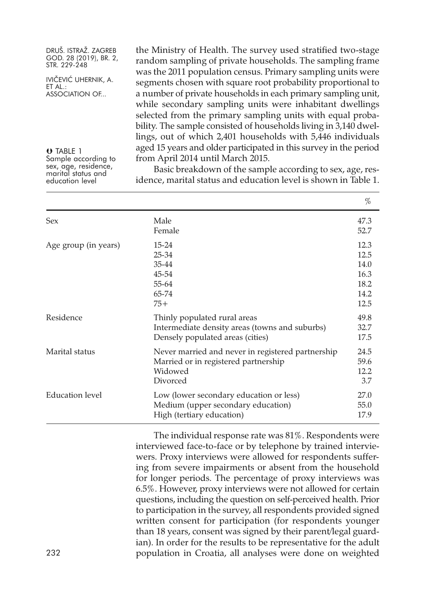IVIČEVIĆ UHERNIK, A. ET AL.: ASSOCIATION OF...

O TABLE 1 Sample according to sex, age, residence, marital status and education level the Ministry of Health. The survey used stratified two-stage random sampling of private households. The sampling frame was the 2011 population census. Primary sampling units were segments chosen with square root probability proportional to a number of private households in each primary sampling unit, while secondary sampling units were inhabitant dwellings selected from the primary sampling units with equal probability. The sample consisted of households living in 3,140 dwellings, out of which 2,401 households with 5,446 individuals aged 15 years and older participated in this survey in the period from April 2014 until March 2015.

Basic breakdown of the sample according to sex, age, residence, marital status and education level is shown in Table 1.

|                      |                                                                                                                    | $\%$                                                 |
|----------------------|--------------------------------------------------------------------------------------------------------------------|------------------------------------------------------|
| Sex                  | Male<br>Female                                                                                                     | 47.3<br>52.7                                         |
| Age group (in years) | 15-24<br>$25 - 34$<br>35-44<br>45-54<br>55-64<br>65-74<br>$75+$                                                    | 12.3<br>12.5<br>14.0<br>16.3<br>18.2<br>14.2<br>12.5 |
| Residence            | Thinly populated rural areas<br>Intermediate density areas (towns and suburbs)<br>Densely populated areas (cities) | 49.8<br>32.7<br>17.5                                 |
| Marital status       | Never married and never in registered partnership<br>Married or in registered partnership<br>Widowed<br>Divorced   | 24.5<br>59.6<br>12.2<br>3.7                          |
| Education level      | Low (lower secondary education or less)<br>Medium (upper secondary education)<br>High (tertiary education)         | 27.0<br>55.0<br>17.9                                 |

The individual response rate was 81%. Respondents were interviewed face-to-face or by telephone by trained interviewers. Proxy interviews were allowed for respondents suffering from severe impairments or absent from the household for longer periods. The percentage of proxy interviews was 6.5%. However, proxy interviews were not allowed for certain questions, including the question on self-perceived health. Prior to participation in the survey, all respondents provided signed written consent for participation (for respondents younger than 18 years, consent was signed by their parent/legal guardian). In order for the results to be representative for the adult population in Croatia, all analyses were done on weighted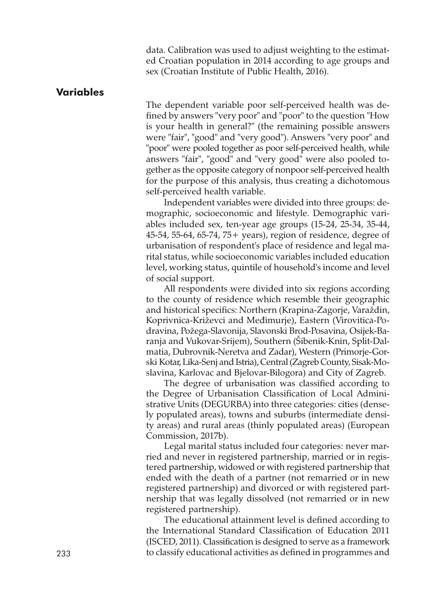data. Calibration was used to adjust weighting to the estimated Croatian population in 2014 according to age groups and sex (Croatian Institute of Public Health, 2016).

#### **Variables**

The dependent variable poor self-perceived health was defined by answers "very poor" and "poor" to the question "How is your health in general?" (the remaining possible answers were "fair", "good" and "very good"). Answers "very poor" and "poor" were pooled together as poor self-perceived health, while answers "fair", "good" and "very good" were also pooled together as the opposite category of nonpoor self-perceived health for the purpose of this analysis, thus creating a dichotomous self-perceived health variable.

Independent variables were divided into three groups: demographic, socioeconomic and lifestyle. Demographic variables included sex, ten-year age groups (15-24, 25-34, 35-44, 45-54, 55-64, 65-74, 75+ years), region of residence, degree of urbanisation of respondent's place of residence and legal marital status, while socioeconomic variables included education level, working status, quintile of household's income and level of social support.

All respondents were divided into six regions according to the county of residence which resemble their geographic and historical specifics: Northern (Krapina-Zagorje, Varaždin, Koprivnica-Križevci and Međimurje), Eastern (Virovitica-Podravina, Požega-Slavonija, Slavonski Brod-Posavina, Osijek-Baranja and Vukovar-Srijem), Southern (Šibenik-Knin, Split-Dalmatia, Dubrovnik-Neretva and Zadar), Western (Primorje-Gorski Kotar, Lika-Senj and Istria), Central(Zagreb County, Sisak-Moslavina, Karlovac and Bjelovar-Bilogora) and City of Zagreb.

The degree of urbanisation was classified according to the Degree of Urbanisation Classification of Local Administrative Units (DEGURBA) into three categories: cities (densely populated areas), towns and suburbs (intermediate density areas) and rural areas (thinly populated areas) (European Commission, 2017b).

Legal marital status included four categories: never married and never in registered partnership, married or in registered partnership, widowed or with registered partnership that ended with the death of a partner (not remarried or in new registered partnership) and divorced or with registered partnership that was legally dissolved (not remarried or in new registered partnership).

The educational attainment level is defined according to the International Standard Classification of Education 2011 (ISCED, 2011). Classification is designed to serve as a framework 233 to classify educational activities as defined in programmes and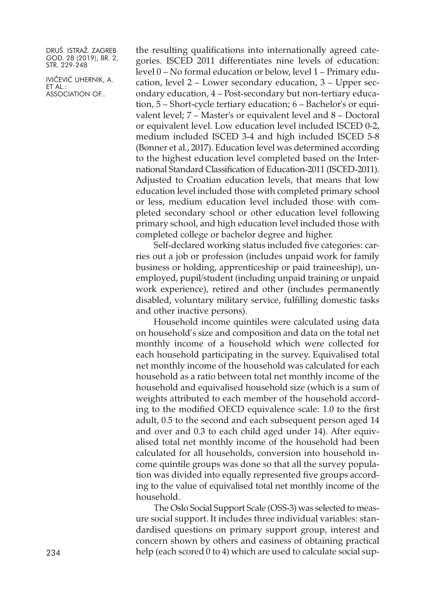IVIČEVIĆ UHERNIK, A. ET AL.: ASSOCIATION OF...

the resulting qualifications into internationally agreed categories. ISCED 2011 differentiates nine levels of education: level 0 – No formal education or below, level 1 – Primary education, level 2 – Lower secondary education, 3 – Upper secondary education, 4 – Post-secondary but non-tertiary education, 5 – Short-cycle tertiary education; 6 – Bachelor's or equivalent level; 7 – Master's or equivalent level and 8 – Doctoral or equivalent level. Low education level included ISCED 0-2, medium included ISCED 3-4 and high included ISCED 5-8 (Bonner et al., 2017). Education level was determined according to the highest education level completed based on the International Standard Classification of Education-2011 (ISCED-2011). Adjusted to Croatian education levels, that means that low education level included those with completed primary school or less, medium education level included those with completed secondary school or other education level following primary school, and high education level included those with completed college or bachelor degree and higher.

Self-declared working status included five categories: carries out a job or profession (includes unpaid work for family business or holding, apprenticeship or paid traineeship), unemployed, pupil/student (including unpaid training or unpaid work experience), retired and other (includes permanently disabled, voluntary military service, fulfilling domestic tasks and other inactive persons).

Household income quintiles were calculated using data on household's size and composition and data on the total net monthly income of a household which were collected for each household participating in the survey. Equivalised total net monthly income of the household was calculated for each household as a ratio between total net monthly income of the household and equivalised household size (which is a sum of weights attributed to each member of the household according to the modified OECD equivalence scale: 1.0 to the first adult, 0.5 to the second and each subsequent person aged 14 and over and 0.3 to each child aged under 14). After equivalised total net monthly income of the household had been calculated for all households, conversion into household income quintile groups was done so that all the survey population was divided into equally represented five groups according to the value of equivalised total net monthly income of the household.

The Oslo Social Support Scale (OSS-3) was selected to measure social support. It includes three individual variables: standardised questions on primary support group, interest and concern shown by others and easiness of obtaining practical help (each scored 0 to 4) which are used to calculate social sup-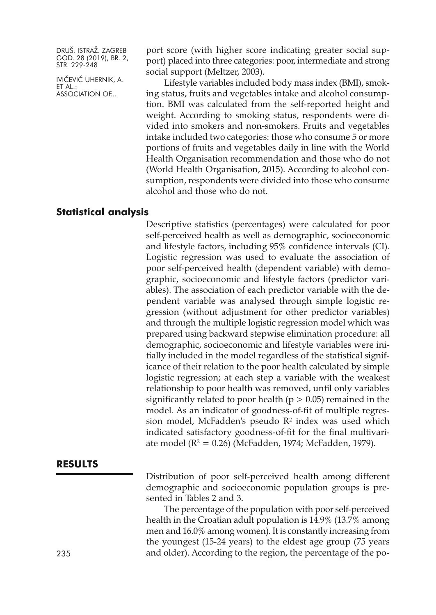IVIČEVIĆ UHERNIK, A. ET AL.: ASSOCIATION OF...

port score (with higher score indicating greater social support) placed into three categories: poor, intermediate and strong social support (Meltzer, 2003).

Lifestyle variables included body mass index (BMI), smoking status, fruits and vegetables intake and alcohol consumption. BMI was calculated from the self-reported height and weight. According to smoking status, respondents were divided into smokers and non-smokers. Fruits and vegetables intake included two categories: those who consume 5 or more portions of fruits and vegetables daily in line with the World Health Organisation recommendation and those who do not (World Health Organisation, 2015). According to alcohol consumption, respondents were divided into those who consume alcohol and those who do not.

# **Statistical analysis**

Descriptive statistics (percentages) were calculated for poor self-perceived health as well as demographic, socioeconomic and lifestyle factors, including 95% confidence intervals (CI). Logistic regression was used to evaluate the association of poor self-perceived health (dependent variable) with demographic, socioeconomic and lifestyle factors (predictor variables). The association of each predictor variable with the dependent variable was analysed through simple logistic regression (without adjustment for other predictor variables) and through the multiple logistic regression model which was prepared using backward stepwise elimination procedure: all demographic, socioeconomic and lifestyle variables were initially included in the model regardless of the statistical significance of their relation to the poor health calculated by simple logistic regression; at each step a variable with the weakest relationship to poor health was removed, until only variables significantly related to poor health ( $p > 0.05$ ) remained in the model. As an indicator of goodness-of-fit of multiple regression model, McFadden's pseudo  $R<sup>2</sup>$  index was used which indicated satisfactory goodness-of-fit for the final multivariate model ( $R^2 = 0.26$ ) (McFadden, 1974; McFadden, 1979).

#### **RESULTS**

Distribution of poor self-perceived health among different demographic and socioeconomic population groups is presented in Tables 2 and 3.

The percentage of the population with poor self-perceived health in the Croatian adult population is 14.9% (13.7% among men and 16.0% among women). It is constantly increasing from the youngest (15-24 years) to the eldest age group (75 years 235 and older). According to the region, the percentage of the po-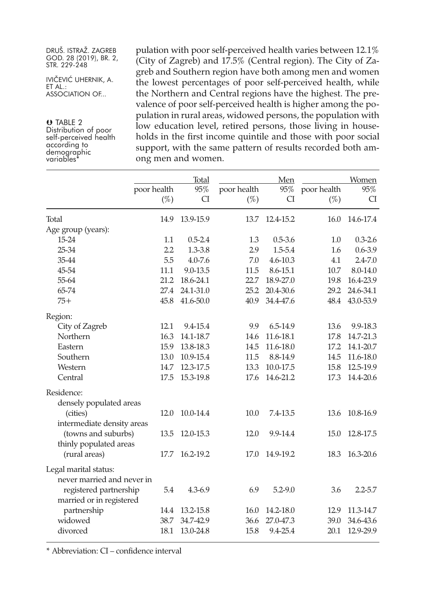| DRUŠ. ISTRAŽ. ZAGREB   |
|------------------------|
| GOD. 28 (2019), BR. 2, |
| STR. 229-248           |

IVIČEVIĆ UHERNIK, A. ET AL.: ASSOCIATION OF...

O TABLE 2 Distribution of poor self-perceived health according to demographic variables\*

pulation with poor self-perceived health varies between 12.1% (City of Zagreb) and 17.5% (Central region). The City of Zagreb and Southern region have both among men and women the lowest percentages of poor self-perceived health, while the Northern and Central regions have the highest. The prevalence of poor self-perceived health is higher among the population in rural areas, widowed persons, the population with low education level, retired persons, those living in households in the first income quintile and those with poor social support, with the same pattern of results recorded both among men and women.

| poor health                                         | $(\%)$ | Total<br>95%<br><b>CI</b> | poor health<br>$(\%)$ | Men<br><b>CI</b> | 95% poor health<br>$(\%)$ | Women<br>95%<br><b>CI</b> |
|-----------------------------------------------------|--------|---------------------------|-----------------------|------------------|---------------------------|---------------------------|
| Total                                               | 14.9   | 13.9-15.9                 | 13.7                  | 12.4-15.2        | 16.0                      | 14.6-17.4                 |
| Age group (years):                                  |        |                           |                       |                  |                           |                           |
| $15 - 24$                                           | 1.1    | $0.5 - 2.4$               | 1.3                   | $0.5 - 3.6$      | 1.0                       | $0.3 - 2.6$               |
| 25-34                                               | 2.2    | $1.3 - 3.8$               | 2.9                   | 1.5-5.4          | 1.6                       | $0.6 - 3.9$               |
| 35-44                                               | 5.5    | $4.0 - 7.6$               | 7.0                   | 4.6-10.3         | 4.1                       | $2.4 - 7.0$               |
| 45-54                                               | 11.1   | 9.0-13.5                  | 11.5                  | 8.6-15.1         | 10.7                      | 8.0-14.0                  |
| 55-64                                               | 21.2   | 18.6-24.1                 | 22.7                  | 18.9-27.0        | 19.8                      | 16.4-23.9                 |
| 65-74                                               | 27.4   | 24.1-31.0                 | 25.2                  | 20.4-30.6        | 29.2                      | 24.6-34.1                 |
| $75+$                                               | 45.8   | 41.6-50.0                 | 40.9                  | 34.4-47.6        | 48.4                      | 43.0-53.9                 |
| Region:                                             |        |                           |                       |                  |                           |                           |
| City of Zagreb                                      | 12.1   | 9.4-15.4                  | 9.9                   | 6.5-14.9         | 13.6                      | 9.9-18.3                  |
| Northern                                            | 16.3   | 14.1-18.7                 | 14.6                  | 11.6-18.1        | 17.8                      | 14.7-21.3                 |
| Eastern                                             | 15.9   | 13.8-18.3                 | 14.5                  | 11.6-18.0        | 17.2                      | 14.1-20.7                 |
| Southern                                            | 13.0   | 10.9-15.4                 | 11.5                  | 8.8-14.9         | 14.5                      | 11.6-18.0                 |
| Western                                             | 14.7   | 12.3-17.5                 | 13.3                  | 10.0-17.5        | 15.8                      | 12.5-19.9                 |
| Central                                             | 17.5   | 15.3-19.8                 | 17.6                  | 14.6-21.2        | 17.3                      | 14.4-20.6                 |
| Residence:                                          |        |                           |                       |                  |                           |                           |
| densely populated areas                             |        |                           |                       |                  |                           |                           |
| (cities)<br>intermediate density areas              | 12.0   | 10.0-14.4                 | 10.0                  | 7.4-13.5         | 13.6                      | 10.8-16.9                 |
| (towns and suburbs)<br>thinly populated areas       | 13.5   | 12.0-15.3                 | 12.0                  | 9.9-14.4         | 15.0                      | 12.8-17.5                 |
| (rural areas)                                       | 17.7   | 16.2-19.2                 | 17.0                  | 14.9-19.2        | 18.3                      | 16.3-20.6                 |
| Legal marital status:<br>never married and never in |        |                           |                       |                  |                           |                           |
| registered partnership<br>married or in registered  | 5.4    | $4.3 - 6.9$               | 6.9                   | $5.2 - 9.0$      | 3.6                       | $2.2 - 5.7$               |
| partnership                                         | 14.4   | 13.2-15.8                 | 16.0                  | 14.2-18.0        | 12.9                      | 11.3-14.7                 |
| widowed                                             | 38.7   | 34.7-42.9                 | 36.6                  | 27.0-47.3        | 39.0                      | 34.6-43.6                 |
| divorced                                            | 18.1   | 13.0-24.8                 | 15.8                  | 9.4-25.4         | 20.1                      | 12.9-29.9                 |

\* Abbreviation: CI – confidence interval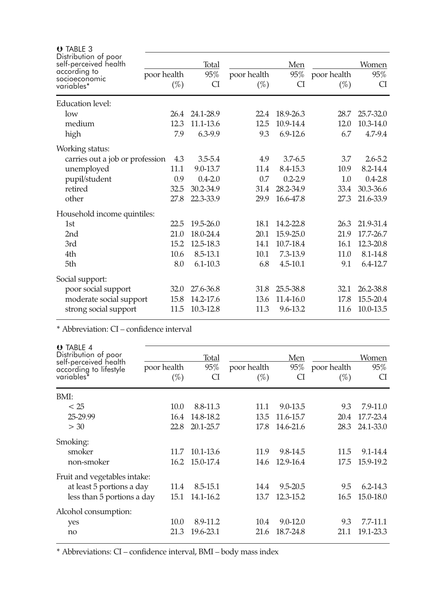| $\theta$ TABLE 3                                              |             |              |             |              |             |              |
|---------------------------------------------------------------|-------------|--------------|-------------|--------------|-------------|--------------|
| Distribution of poor<br>self-perceived health<br>according to |             | <b>Total</b> |             | Men          |             | <b>Women</b> |
| socioeconomic                                                 | poor health | 95%          | poor health | 95%          | poor health | 95%          |
| variables*                                                    | $(\%)$      | CI           | $(\%)$      | CI           | $(\%)$      | CI           |
| <b>Education level:</b>                                       |             |              |             |              |             |              |
| low                                                           | 26.4        | 24.1-28.9    | 22.4        | 18.9-26.3    | 28.7        | 25.7-32.0    |
| medium                                                        | 12.3        | 11.1-13.6    | 12.5        | 10.9-14.4    | 12.0        | 10.3-14.0    |
| high                                                          | 7.9         | $6.3 - 9.9$  | 9.3         | 6.9-12.6     | 6.7         | 4.7-9.4      |
| Working status:                                               |             |              |             |              |             |              |
| carries out a job or profession                               | 4.3         | $3.5 - 5.4$  | 4.9         | $3.7 - 6.5$  | 3.7         | $2.6 - 5.2$  |
| unemployed                                                    | 11.1        | 9.0-13.7     | 11.4        | 8.4-15.3     | 10.9        | 8.2-14.4     |
| pupil/student                                                 | 0.9         | $0.4 - 2.0$  | 0.7         | $0.2 - 2.9$  | 1.0         | $0.4 - 2.8$  |
| retired                                                       | 32.5        | 30.2-34.9    | 31.4        | 28.2-34.9    | 33.4        | 30.3-36.6    |
| other                                                         | 27.8        | 22.3-33.9    | 29.9        | 16.6-47.8    | 27.3        | 21.6-33.9    |
| Household income quintiles:                                   |             |              |             |              |             |              |
| 1st                                                           | 22.5        | 19.5-26.0    | 18.1        | 14.2-22.8    | 26.3        | 21.9-31.4    |
| 2nd                                                           | 21.0        | 18.0-24.4    | 20.1        | 15.9-25.0    | 21.9        | 17.7-26.7    |
| 3rd                                                           | 15.2        | 12.5-18.3    | 14.1        | 10.7-18.4    | 16.1        | 12.3-20.8    |
| 4th                                                           | 10.6        | 8.5-13.1     | 10.1        | 7.3-13.9     | 11.0        | 8.1-14.8     |
| 5th                                                           | 8.0         | $6.1 - 10.3$ | 6.8         | $4.5 - 10.1$ | 9.1         | 6.4-12.7     |
| Social support:                                               |             |              |             |              |             |              |
| poor social support                                           | 32.0        | 27.6-36.8    | 31.8        | 25.5-38.8    | 32.1        | 26.2-38.8    |
| moderate social support                                       | 15.8        | 14.2-17.6    | 13.6        | 11.4-16.0    | 17.8        | 15.5-20.4    |
| strong social support                                         | 11.5        | 10.3-12.8    | 11.3        | 9.6-13.2     | 11.6        | 10.0-13.5    |
|                                                               |             |              |             |              |             |              |

\* Abbreviation: CI – confidence interval

| $O$ TABLE 4<br>Distribution of poor<br>self-perceived health<br>according to lifestyle<br>variables <sup>*</sup> | poor health<br>$(\%)$ | Total<br>95%<br>CI | poor health<br>$(\%)$ | Men<br>95%<br>CI | poor health<br>$(\%)$ | Women<br>95%<br>CI |
|------------------------------------------------------------------------------------------------------------------|-----------------------|--------------------|-----------------------|------------------|-----------------------|--------------------|
| BMI:                                                                                                             |                       |                    |                       |                  |                       |                    |
| < 25                                                                                                             | 10.0                  | 8.8-11.3           | 11.1                  | 9.0-13.5         | 9.3                   | $7.9 - 11.0$       |
| 25-29.99                                                                                                         | 16.4                  | 14.8-18.2          | 13.5                  | 11.6-15.7        | 20.4                  | 17.7-23.4          |
| > 30                                                                                                             | 22.8                  | 20.1-25.7          | 17.8                  | 14.6-21.6        | 28.3                  | 24.1-33.0          |
| Smoking:                                                                                                         |                       |                    |                       |                  |                       |                    |
| smoker                                                                                                           | 11.7                  | 10.1-13.6          | 11.9                  | 9.8-14.5         | 11.5                  | 9.1-14.4           |
| non-smoker                                                                                                       | 16.2                  | 15.0-17.4          | 14.6                  | 12.9-16.4        | 17.5                  | 15.9-19.2          |
| Fruit and vegetables intake:                                                                                     |                       |                    |                       |                  |                       |                    |
| at least 5 portions a day                                                                                        | 11.4                  | 8.5-15.1           | 14.4                  | $9.5 - 20.5$     | 9.5                   | $6.2 - 14.3$       |
| less than 5 portions a day                                                                                       | 15.1                  | 14.1-16.2          | 13.7                  | 12.3-15.2        | 16.5                  | 15.0-18.0          |
| Alcohol consumption:                                                                                             |                       |                    |                       |                  |                       |                    |
| yes                                                                                                              | 10.0                  | 8.9-11.2           | 10.4                  | $9.0 - 12.0$     | 9.3                   | 7.7-11.1           |
| no                                                                                                               | 21.3                  | 19.6-23.1          | 21.6                  | 18.7-24.8        | 21.1                  | 19.1-23.3          |

\* Abbreviations: CI – confidence interval, BMI – body mass index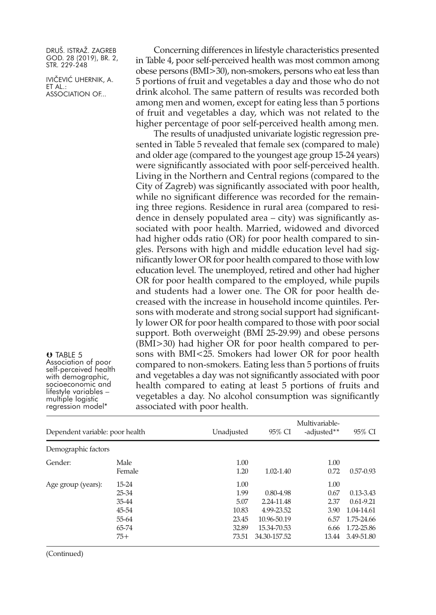IVIČEVIĆ UHERNIK, A. ET AL.: ASSOCIATION OF...

Concerning differences in lifestyle characteristics presented in Table 4, poor self-perceived health was most common among obese persons (BMI>30), non-smokers, persons who eat less than 5 portions of fruit and vegetables a day and those who do not drink alcohol. The same pattern of results was recorded both among men and women, except for eating less than 5 portions of fruit and vegetables a day, which was not related to the higher percentage of poor self-perceived health among men.

The results of unadjusted univariate logistic regression presented in Table 5 revealed that female sex (compared to male) and older age (compared to the youngest age group 15-24 years) were significantly associated with poor self-perceived health. Living in the Northern and Central regions (compared to the City of Zagreb) was significantly associated with poor health, while no significant difference was recorded for the remaining three regions. Residence in rural area (compared to residence in densely populated area – city) was significantly associated with poor health. Married, widowed and divorced had higher odds ratio (OR) for poor health compared to singles. Persons with high and middle education level had significantly lower OR for poor health compared to those with low education level. The unemployed, retired and other had higher OR for poor health compared to the employed, while pupils and students had a lower one. The OR for poor health decreased with the increase in household income quintiles. Persons with moderate and strong social support had significantly lower OR for poor health compared to those with poor social support. Both overweight (BMI 25-29.99) and obese persons (BMI>30) had higher OR for poor health compared to persons with BMI<25. Smokers had lower OR for poor health compared to non-smokers. Eating less than 5 portions of fruits and vegetables a day was not significantly associated with poor health compared to eating at least 5 portions of fruits and vegetables a day. No alcohol consumption was significantly associated with poor health.

| Dependent variable: poor health |                                                               | Unadjusted                                               | 95% CI                                                                                  | Multivariable-<br>-adjusted**                         | 95% CI                                                                                 |
|---------------------------------|---------------------------------------------------------------|----------------------------------------------------------|-----------------------------------------------------------------------------------------|-------------------------------------------------------|----------------------------------------------------------------------------------------|
| Demographic factors             |                                                               |                                                          |                                                                                         |                                                       |                                                                                        |
| Gender:                         | Male<br>Female                                                | 1.00<br>1.20                                             | 1.02-1.40                                                                               | 1.00<br>0.72                                          | $0.57 - 0.93$                                                                          |
| Age group (years):              | $15-24$<br>25-34<br>35-44<br>45-54<br>55-64<br>65-74<br>$75+$ | 1.00<br>1.99<br>5.07<br>10.83<br>23.45<br>32.89<br>73.51 | $0.80 - 4.98$<br>2.24-11.48<br>4.99-23.52<br>10.96-50.19<br>15.34-70.53<br>34.30-157.52 | 1.00<br>0.67<br>2.37<br>3.90<br>6.57<br>6.66<br>13.44 | $0.13 - 3.43$<br>$0.61 - 9.21$<br>1.04-14.61<br>1.75-24.66<br>1.72-25.86<br>3.49-51.80 |

(Continued)

O TABLE 5

Association of poor<br>self-perceived health<br>with demographic,<br>socioeconomic and<br>lifestyle variables –

multiple logistic<br>regression model\*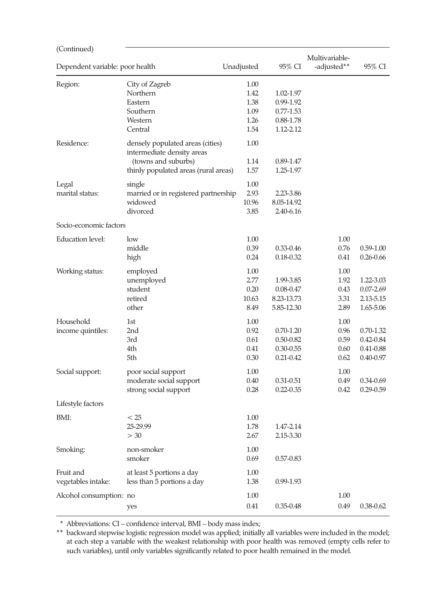| (Continued)                     |                                                                                                                               |                                              |                                                                   |                                      |                                                              |
|---------------------------------|-------------------------------------------------------------------------------------------------------------------------------|----------------------------------------------|-------------------------------------------------------------------|--------------------------------------|--------------------------------------------------------------|
| Dependent variable: poor health |                                                                                                                               | Unadjusted                                   | 95% CI                                                            | Multivariable-<br>-adjusted**        | 95% CI                                                       |
| Region:                         | City of Zagreb<br>Northern<br>Eastern<br>Southern<br>Western<br>Central                                                       | 1.00<br>1.42<br>1.38<br>1.09<br>1.26<br>1.54 | 1.02-1.97<br>0.99-1.92<br>$0.77 - 1.53$<br>0.88-1.78<br>1.12-2.12 |                                      |                                                              |
| Residence:                      | densely populated areas (cities)<br>intermediate density areas<br>(towns and suburbs)<br>thinly populated areas (rural areas) | 1.00<br>1.14<br>1.57                         | 0.89-1.47<br>1.25-1.97                                            |                                      |                                                              |
| Legal<br>marital status:        | single<br>married or in registered partnership<br>widowed<br>divorced                                                         | 1.00<br>2.93<br>10.96<br>3.85                | 2.23-3.86<br>8.05-14.92<br>2.40-6.16                              |                                      |                                                              |
| Socio-economic factors          |                                                                                                                               |                                              |                                                                   |                                      |                                                              |
| <b>Education level:</b>         | low<br>middle<br>high                                                                                                         | 1.00<br>0.39<br>0.24                         | 0.33-0.46<br>0.18-0.32                                            | 1.00<br>0.76<br>0.41                 | $0.59 - 1.00$<br>$0.26 - 0.66$                               |
| Working status:                 | employed<br>unemployed<br>student<br>retired<br>other                                                                         | 1.00<br>2.77<br>0.20<br>10.63<br>8.49        | 1.99-3.85<br>$0.08 - 0.47$<br>8.23-13.73<br>5.85-12.30            | 1.00<br>1.92<br>0.43<br>3.31<br>2.89 | 1.22-3.03<br>$0.07 - 2.69$<br>2.13-5.15<br>1.65-5.06         |
| Household<br>income quintiles:  | 1st<br>2nd<br>3rd<br>4th<br>5th                                                                                               | 1.00<br>0.92<br>0.61<br>0.41<br>0.30         | $0.70 - 1.20$<br>0.50-0.82<br>0.30-0.55<br>$0.21 - 0.42$          | 1.00<br>0.96<br>0.59<br>0.60<br>0.62 | $0.70 - 1.32$<br>$0.42 - 0.84$<br>0.41-0.88<br>$0.40 - 0.97$ |
| Social support:                 | poor social support<br>moderate social support<br>strong social support                                                       | 1.00<br>0.40<br>0.28                         | 0.31-0.51<br>$0.22 - 0.35$                                        | 1.00<br>0.49<br>0.42                 | 0.34-0.69<br>$0.29 - 0.59$                                   |
| Lifestyle factors               |                                                                                                                               |                                              |                                                                   |                                      |                                                              |
| BMI:                            | < 25<br>25-29.99<br>> 30                                                                                                      | 1.00<br>1.78<br>2.67                         | 1.47-2.14<br>2.15-3.30                                            |                                      |                                                              |
| Smoking:                        | non-smoker<br>smoker                                                                                                          | 1.00<br>0.69                                 | 0.57-0.83                                                         |                                      |                                                              |
| Fruit and<br>vegetables intake: | at least 5 portions a day<br>less than 5 portions a day                                                                       | 1.00<br>1.38                                 | 0.99-1.93                                                         |                                      |                                                              |
| Alcohol consumption: no         | yes                                                                                                                           | 1.00<br>0.41                                 | $0.35 - 0.48$                                                     | 1.00<br>0.49                         | $0.38 - 0.62$                                                |

\* Abbreviations: CI – confidence interval, BMI – body mass index;

\*\* backward stepwise logistic regression model was applied; initially all variables were included in the model; at each step a variable with the weakest relationship with poor health was removed (empty cells refer to such variables), until only variables significantly related to poor health remained in the model.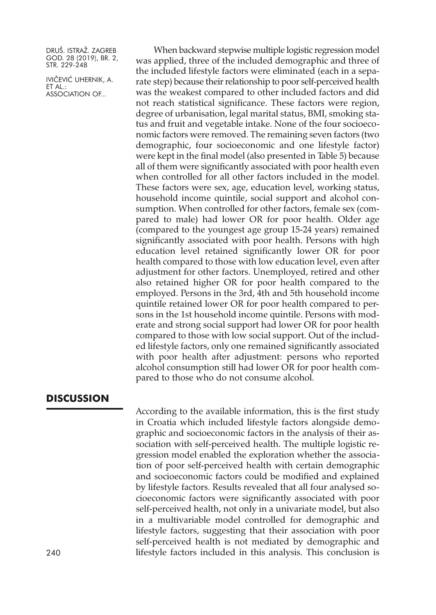IVIČEVIĆ UHERNIK, A. ET AL.: ASSOCIATION OF...

When backward stepwise multiple logistic regression model was applied, three of the included demographic and three of the included lifestyle factors were eliminated (each in a separate step) because their relationship to poor self-perceived health was the weakest compared to other included factors and did not reach statistical significance. These factors were region, degree of urbanisation, legal marital status, BMI, smoking status and fruit and vegetable intake. None of the four socioeconomic factors were removed. The remaining seven factors (two demographic, four socioeconomic and one lifestyle factor) were kept in the final model (also presented in Table 5) because all of them were significantly associated with poor health even when controlled for all other factors included in the model. These factors were sex, age, education level, working status, household income quintile, social support and alcohol consumption. When controlled for other factors, female sex (compared to male) had lower OR for poor health. Older age (compared to the youngest age group 15-24 years) remained significantly associated with poor health. Persons with high education level retained significantly lower OR for poor health compared to those with low education level, even after adjustment for other factors. Unemployed, retired and other also retained higher OR for poor health compared to the employed. Persons in the 3rd, 4th and 5th household income quintile retained lower OR for poor health compared to persons in the 1st household income quintile. Persons with moderate and strong social support had lower OR for poor health compared to those with low social support. Out of the included lifestyle factors, only one remained significantly associated with poor health after adjustment: persons who reported alcohol consumption still had lower OR for poor health compared to those who do not consume alcohol.

# **DISCUSSION**

According to the available information, this is the first study in Croatia which included lifestyle factors alongside demographic and socioeconomic factors in the analysis of their association with self-perceived health. The multiple logistic regression model enabled the exploration whether the association of poor self-perceived health with certain demographic and socioeconomic factors could be modified and explained by lifestyle factors. Results revealed that all four analysed socioeconomic factors were significantly associated with poor self-perceived health, not only in a univariate model, but also in a multivariable model controlled for demographic and lifestyle factors, suggesting that their association with poor self-perceived health is not mediated by demographic and lifestyle factors included in this analysis. This conclusion is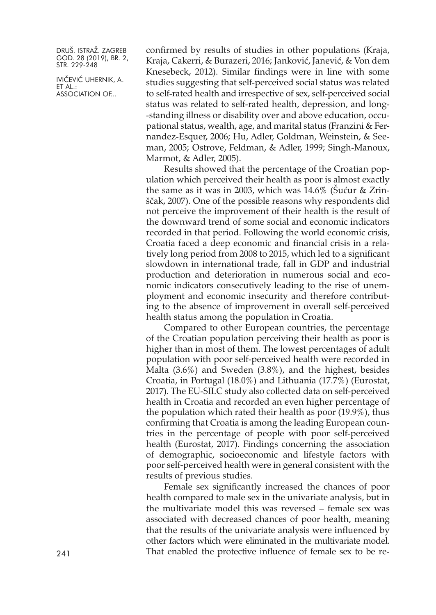IVIČEVIĆ UHERNIK, A. ET AL.: ASSOCIATION OF...

confirmed by results of studies in other populations (Kraja, Kraja, Cakerri, & Burazeri, 2016; Janković, Janević, & Von dem Knesebeck, 2012). Similar findings were in line with some studies suggesting that self-perceived social status was related to self-rated health and irrespective of sex, self-perceived social status was related to self-rated health, depression, and long- -standing illness or disability over and above education, occupational status, wealth, age, and marital status (Franzini & Fernandez-Esquer, 2006; Hu, Adler, Goldman, Weinstein, & Seeman, 2005; Ostrove, Feldman, & Adler, 1999; Singh-Manoux, Marmot, & Adler, 2005).

Results showed that the percentage of the Croatian population which perceived their health as poor is almost exactly the same as it was in 2003, which was 14.6% (Šućur & Zrinščak, 2007). One of the possible reasons why respondents did not perceive the improvement of their health is the result of the downward trend of some social and economic indicators recorded in that period. Following the world economic crisis, Croatia faced a deep economic and financial crisis in a relatively long period from 2008 to 2015, which led to a significant slowdown in international trade, fall in GDP and industrial production and deterioration in numerous social and economic indicators consecutively leading to the rise of unemployment and economic insecurity and therefore contributing to the absence of improvement in overall self-perceived health status among the population in Croatia.

Compared to other European countries, the percentage of the Croatian population perceiving their health as poor is higher than in most of them. The lowest percentages of adult population with poor self-perceived health were recorded in Malta (3.6%) and Sweden (3.8%), and the highest, besides Croatia, in Portugal (18.0%) and Lithuania (17.7%) (Eurostat, 2017). The EU-SILC study also collected data on self-perceived health in Croatia and recorded an even higher percentage of the population which rated their health as poor (19.9%), thus confirming that Croatia is among the leading European countries in the percentage of people with poor self-perceived health (Eurostat, 2017). Findings concerning the association of demographic, socioeconomic and lifestyle factors with poor self-perceived health were in general consistent with the results of previous studies.

Female sex significantly increased the chances of poor health compared to male sex in the univariate analysis, but in the multivariate model this was reversed – female sex was associated with decreased chances of poor health, meaning that the results of the univariate analysis were influenced by other factors which were eliminated in the multivariate model. 241 That enabled the protective influence of female sex to be re-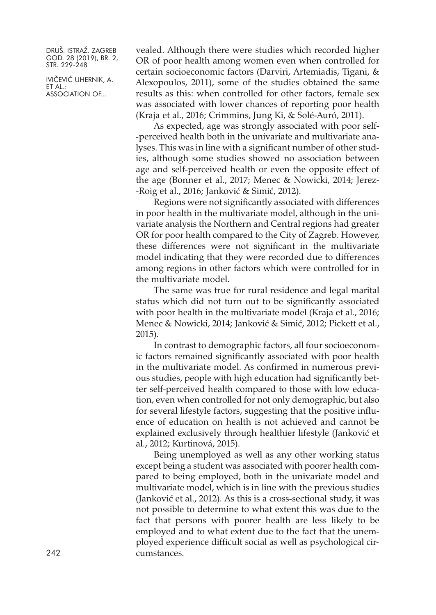IVIČEVIĆ UHERNIK, A. ET AL.: ASSOCIATION OF...

vealed. Although there were studies which recorded higher OR of poor health among women even when controlled for certain socioeconomic factors (Darviri, Artemiadis, Tigani, & Alexopoulos, 2011), some of the studies obtained the same results as this: when controlled for other factors, female sex was associated with lower chances of reporting poor health (Kraja et al., 2016; Crimmins, Jung Ki, & Solé-Auró, 2011).

As expected, age was strongly associated with poor self- -perceived health both in the univariate and multivariate analyses. This was in line with a significant number of other studies, although some studies showed no association between age and self-perceived health or even the opposite effect of the age (Bonner et al., 2017; Menec & Nowicki, 2014; Jerez- -Roig et al., 2016; Janković & Simić, 2012).

Regions were not significantly associated with differences in poor health in the multivariate model, although in the univariate analysis the Northern and Central regions had greater OR for poor health compared to the City of Zagreb. However, these differences were not significant in the multivariate model indicating that they were recorded due to differences among regions in other factors which were controlled for in the multivariate model.

The same was true for rural residence and legal marital status which did not turn out to be significantly associated with poor health in the multivariate model (Kraja et al., 2016; Menec & Nowicki, 2014; Janković & Simić, 2012; Pickett et al., 2015).

In contrast to demographic factors, all four socioeconomic factors remained significantly associated with poor health in the multivariate model. As confirmed in numerous previous studies, people with high education had significantly better self-perceived health compared to those with low education, even when controlled for not only demographic, but also for several lifestyle factors, suggesting that the positive influence of education on health is not achieved and cannot be explained exclusively through healthier lifestyle (Janković et al., 2012; Kurtinová, 2015).

Being unemployed as well as any other working status except being a student was associated with poorer health compared to being employed, both in the univariate model and multivariate model, which is in line with the previous studies (Janković et al., 2012). As this is a cross-sectional study, it was not possible to determine to what extent this was due to the fact that persons with poorer health are less likely to be employed and to what extent due to the fact that the unemployed experience difficult social as well as psychological circumstances.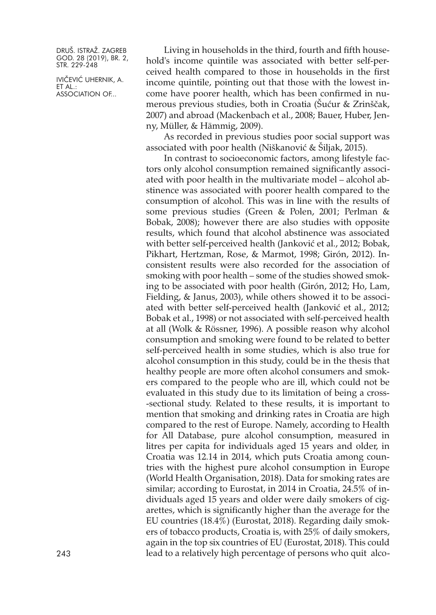IVIČEVIĆ UHERNIK, A. ET AL.: ASSOCIATION OF...

Living in households in the third, fourth and fifth household's income quintile was associated with better self-perceived health compared to those in households in the first income quintile, pointing out that those with the lowest income have poorer health, which has been confirmed in numerous previous studies, both in Croatia (Šućur & Zrinščak, 2007) and abroad (Mackenbach et al., 2008; Bauer, Huber, Jenny, Müller, & Hämmig, 2009).

As recorded in previous studies poor social support was associated with poor health (Niškanović & Šiljak, 2015).

In contrast to socioeconomic factors, among lifestyle factors only alcohol consumption remained significantly associated with poor health in the multivariate model – alcohol abstinence was associated with poorer health compared to the consumption of alcohol. This was in line with the results of some previous studies (Green & Polen, 2001; Perlman & Bobak, 2008); however there are also studies with opposite results, which found that alcohol abstinence was associated with better self-perceived health (Janković et al., 2012; Bobak, Pikhart, Hertzman, Rose, & Marmot, 1998; Girón, 2012). Inconsistent results were also recorded for the association of smoking with poor health – some of the studies showed smoking to be associated with poor health (Girón, 2012; Ho, Lam, Fielding, & Janus, 2003), while others showed it to be associated with better self-perceived health (Janković et al., 2012; Bobak et al., 1998) or not associated with self-perceived health at all (Wolk & Rössner, 1996). A possible reason why alcohol consumption and smoking were found to be related to better self-perceived health in some studies, which is also true for alcohol consumption in this study, could be in the thesis that healthy people are more often alcohol consumers and smokers compared to the people who are ill, which could not be evaluated in this study due to its limitation of being a cross- -sectional study. Related to these results, it is important to mention that smoking and drinking rates in Croatia are high compared to the rest of Europe. Namely, according to Health for All Database, pure alcohol consumption, measured in litres per capita for individuals aged 15 years and older, in Croatia was 12.14 in 2014, which puts Croatia among countries with the highest pure alcohol consumption in Europe (World Health Organisation, 2018). Data for smoking rates are similar; according to Eurostat, in 2014 in Croatia, 24.5% of individuals aged 15 years and older were daily smokers of cigarettes, which is significantly higher than the average for the EU countries (18.4%) (Eurostat, 2018). Regarding daily smokers of tobacco products, Croatia is, with 25% of daily smokers, again in the top six countries of EU (Eurostat, 2018). This could 243 lead to a relatively high percentage of persons who quit alco-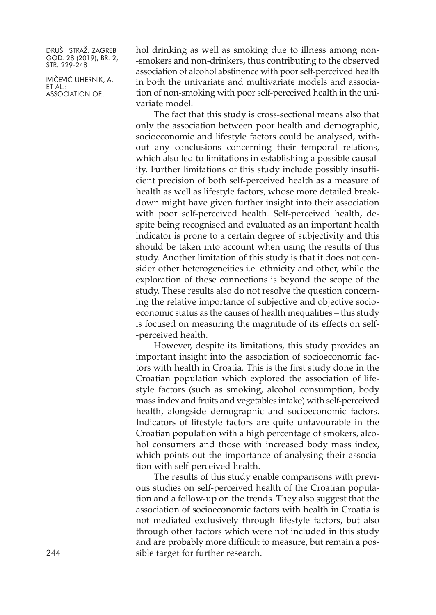IVIČEVIĆ UHERNIK, A. ET AL.: ASSOCIATION OF...

hol drinking as well as smoking due to illness among non- -smokers and non-drinkers, thus contributing to the observed association of alcohol abstinence with poor self-perceived health in both the univariate and multivariate models and association of non-smoking with poor self-perceived health in the univariate model.

The fact that this study is cross-sectional means also that only the association between poor health and demographic, socioeconomic and lifestyle factors could be analysed, without any conclusions concerning their temporal relations, which also led to limitations in establishing a possible causality. Further limitations of this study include possibly insufficient precision of both self-perceived health as a measure of health as well as lifestyle factors, whose more detailed breakdown might have given further insight into their association with poor self-perceived health. Self-perceived health, despite being recognised and evaluated as an important health indicator is prone to a certain degree of subjectivity and this should be taken into account when using the results of this study. Another limitation of this study is that it does not consider other heterogeneities i.e. ethnicity and other, while the exploration of these connections is beyond the scope of the study. These results also do not resolve the question concerning the relative importance of subjective and objective socioeconomic status as the causes of health inequalities – this study is focused on measuring the magnitude of its effects on self- -perceived health.

However, despite its limitations, this study provides an important insight into the association of socioeconomic factors with health in Croatia. This is the first study done in the Croatian population which explored the association of lifestyle factors (such as smoking, alcohol consumption, body mass index and fruits and vegetables intake) with self-perceived health, alongside demographic and socioeconomic factors. Indicators of lifestyle factors are quite unfavourable in the Croatian population with a high percentage of smokers, alcohol consumers and those with increased body mass index, which points out the importance of analysing their association with self-perceived health.

The results of this study enable comparisons with previous studies on self-perceived health of the Croatian population and a follow-up on the trends. They also suggest that the association of socioeconomic factors with health in Croatia is not mediated exclusively through lifestyle factors, but also through other factors which were not included in this study and are probably more difficult to measure, but remain a possible target for further research.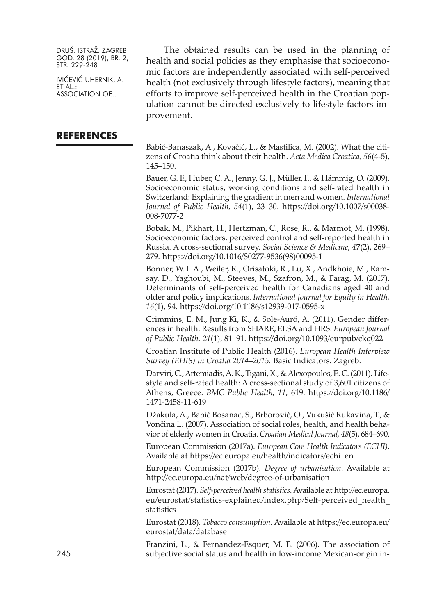IVIČEVIĆ UHERNIK, A. ET AL.: ASSOCIATION OF...

#### **REFERENCES**

The obtained results can be used in the planning of health and social policies as they emphasise that socioeconomic factors are independently associated with self-perceived health (not exclusively through lifestyle factors), meaning that efforts to improve self-perceived health in the Croatian population cannot be directed exclusively to lifestyle factors improvement.

Babić-Banaszak, A., Kovačić, L., & Mastilica, M. (2002). What the citizens of Croatia think about their health. *Acta Medica Croatica, 56*(4-5), 145–150.

Bauer, G. F., Huber, C. A., Jenny, G. J., Müller, F., & Hämmig, O. (2009). Socioeconomic status, working conditions and self-rated health in Switzerland: Explaining the gradient in men and women. *International Journal of Public Health, 54*(1), 23–30. [https://doi.org/10.1007/s00038-](https://doi.org/10.1007/s00038-008-7077-2) [008-7077-2](https://doi.org/10.1007/s00038-008-7077-2)

Bobak, M., Pikhart, H., Hertzman, C., Rose, R., & Marmot, M. (1998). Socioeconomic factors, perceived control and self-reported health in Russia. A cross-sectional survey. *Social Science & Medicine, 4*7(2), 269– 279. [https://doi.org/10.1016/S0277-9536\(98\)00095-1](https://doi.org/10.1016/S0277-9536(98)00095-1)

Bonner, W. I. A., Weiler, R., Orisatoki, R., Lu, X., Andkhoie, M., Ramsay, D., Yaghoubi, M., Steeves, M., Szafron, M., & Farag, M. (2017). Determinants of self-perceived health for Canadians aged 40 and older and policy implications. *International Journal for Equity in Health, 16*(1), 94. <https://doi.org/10.1186/s12939-017-0595-x>

Crimmins, E. M., Jung Ki, K., & Solé-Auró, A. (2011). Gender differences in health: Results from SHARE, ELSA and HRS. *European Journal of Public Health, 21*(1), 81–91. <https://doi.org/10.1093/eurpub/ckq022>

Croatian Institute of Public Health (2016). *European Health Interview Survey (EHIS) in Croatia 2014–2015.* Basic Indicators. Zagreb.

Darviri, C.,Artemiadis,A.K., Tigani, X., & Alexopoulos, E. C. (2011). Lifestyle and self-rated health: A cross-sectional study of 3,601 citizens of Athens, Greece. *BMC Public Health, 11,* 619. [https://doi.org/10.1186/](https://doi.org/10.1186/1471-2458-11-619) [1471-2458-11-619](https://doi.org/10.1186/1471-2458-11-619)

Džakula, A., Babić Bosanac, S., Brborović, O., Vukušić Rukavina, T., & Vončina L. (2007). Association of social roles, health, and health behavior of elderly women in Croatia. *Croatian Medical Journal, 48*(5), 684–690.

European Commission (2017a). *European Core Health Indicators (ECHI)*. Available at [https://ec.europa.eu/health/indicators/echi\\_en](https://ec.europa.eu/health/indicators/echi_en)

European Commission (2017b). *Degree of urbanisation*. Available at <http://ec.europa.eu/nat/web/degree-of-urbanisation>

Eurostat (2017). *Self-perceived health statistics*. Available at [http://ec.europa.](http://ec.europa.eu/eurostat/statistics-explained/index.php/Self-perceived_health_statistics) [eu/eurostat/statistics-explained/index.php/Self-perceived\\_health\\_](http://ec.europa.eu/eurostat/statistics-explained/index.php/Self-perceived_health_statistics) [statistics](http://ec.europa.eu/eurostat/statistics-explained/index.php/Self-perceived_health_statistics)

Eurostat (2018). *Tobacco consumption*. Available at [https://ec.europa.eu/](https://ec.europa.eu/eurostat/data/database) [eurostat/data/database](https://ec.europa.eu/eurostat/data/database)

Franzini, L., & Fernandez-Esquer, M. E. (2006). The association of 245 subjective social status and health in low-income Mexican-origin in-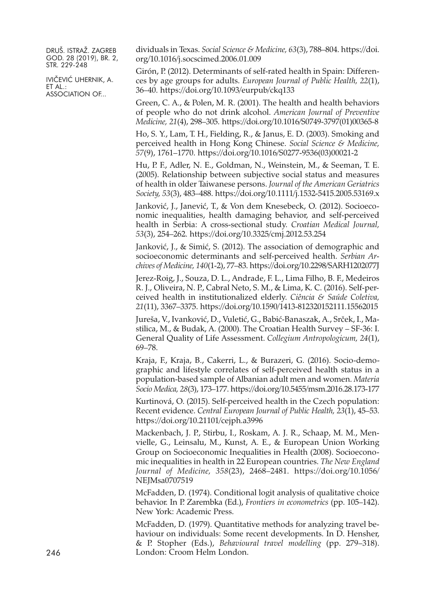IVIČEVIĆ UHERNIK, A. ET AL.: ASSOCIATION OF...

dividuals in Texas. *Social Science & Medicine, 63*(3), 788–804. [https://doi.](https://doi.org/10.1016/j.socscimed.2006.01.009) [org/10.1016/j.socscimed.2006.01.009](https://doi.org/10.1016/j.socscimed.2006.01.009)

Girón, P. (2012). Determinants of self-rated health in Spain: Differences by age groups for adults. *European Journal of Public Health, 22*(1), 36–40. <https://doi.org/10.1093/eurpub/ckq133>

Green, C. A., & Polen, M. R. (2001). The health and health behaviors of people who do not drink alcohol. *American Journal of Preventive Medicine, 21*(4), 298–305. [https://doi.org/10.1016/S0749-3797\(01\)00365-8](https://doi.org/10.1016/S0749-3797(01)00365-8)

Ho, S. Y., Lam, T. H., Fielding, R., & Janus, E. D. (2003). Smoking and perceived health in Hong Kong Chinese. *Social Science & Medicine, 57*(9), 1761–1770. [https://doi.org/10.1016/S0277-9536\(03\)00021-2](https://doi.org/10.1016/S0277-9536(03)00021-2)

Hu, P. F., Adler, N. E., Goldman, N., Weinstein, M., & Seeman, T. E. (2005). Relationship between subjective social status and measures of health in older Taiwanese persons. *Journal of the American Geriatrics Society, 53*(3), 483–488. <https://doi.org/10.1111/j.1532-5415.2005.53169.x>

Janković, J., Janević, T., & Von dem Knesebeck, O. (2012). Socioeconomic inequalities, health damaging behavior, and self-perceived health in Serbia: A cross-sectional study. *Croatian Medical Journal, 53*(3), 254–262. <https://doi.org/10.3325/cmj.2012.53.254>

Janković, J., & Simić, S. (2012). The association of demographic and socioeconomic determinants and self-perceived health. *Serbian Archives of Medicine, 140*(1-2), 77–83. <https://doi.org/10.2298/SARH1202077J>

Jerez-Roig, J., Souza, D. L., Andrade, F. L., Lima Filho, B. F., Medeiros R. J., Oliveira, N. P., Cabral Neto, S. M., & Lima, K. C. (2016). Self-perceived health in institutionalized elderly. *Ciência & Saúde Coletiva, 21*(11), 3367–3375. <https://doi.org/10.1590/1413-812320152111.15562015>

Jureša, V., Ivanković, D., Vuletić, G., Babić-Banaszak, A., Srček, I., Mastilica, M., & Budak, A. (2000). The Croatian Health Survey – SF-36: I. General Quality of Life Assessment. *Collegium Antropologicum, 24*(1), 69–78.

Kraja, F., Kraja, B., Cakerri, L., & Burazeri, G. (2016). Socio-demographic and lifestyle correlates of self-perceived health status in a population-based sample of Albanian adult men and women. *Materia Socio Medica, 28*(3), 173–177. <https://doi.org/10.5455/msm.2016.28.173-177>

Kurtinová, O. (2015). Self-perceived health in the Czech population: Recent evidence. *Central European Journal of Public Health, 23*(1), 45–53. <https://doi.org/10.21101/cejph.a3996>

Mackenbach, J. P., Stirbu, I., Roskam, A. J. R., Schaap, M. M., Menvielle, G., Leinsalu, M., Kunst, A. E., & European Union Working Group on Socioeconomic Inequalities in Health (2008). Socioeconomic inequalities in health in 22 European countries. *The New England Journal of Medicine, 358*(23), 2468–2481. [https://doi.org/10.1056/](https://doi.org/10.1056/NEJMsa0707519) [NEJMsa0707519](https://doi.org/10.1056/NEJMsa0707519)

McFadden, D. (1974). Conditional logit analysis of qualitative choice behavior. In P. Zarembka (Ed.), *Frontiers in econometrics* (pp. 105–142). New York: Academic Press.

McFadden, D. (1979). Quantitative methods for analyzing travel behaviour on individuals: Some recent developments. In D. Hensher, & P. Stopher (Eds.), *Behavioural travel modelling* (pp. 279–318). London: Croom Helm London.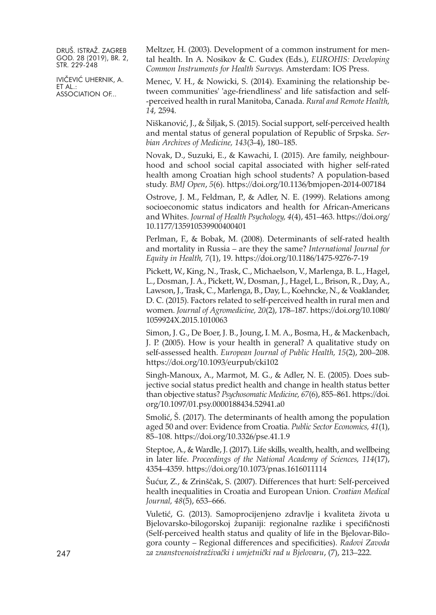IVIČEVIĆ UHERNIK, A. ET AL.: ASSOCIATION OF...

Meltzer, H. (2003). Development of a common instrument for mental health. In A. Nosikov & C. Gudex (Eds.), *EUROHIS: Developing Common Instruments for Health Surveys.* Amsterdam: IOS Press.

Menec, V. H., & Nowicki, S. (2014). Examining the relationship between communities' 'age-friendliness' and life satisfaction and self- -perceived health in rural Manitoba, Canada. *Rural and Remote Health, 14,* 2594.

Niškanović, J., & Šiljak, S. (2015). Social support, self-perceived health and mental status of general population of Republic of Srpska. *Serbian Archives of Medicine, 143*(3-4), 180–185.

Novak, D., Suzuki, E., & Kawachi, I. (2015). Are family, neighbourhood and school social capital associated with higher self-rated health among Croatian high school students? A population-based study. *BMJ Open*, *5*(6). <https://doi.org/10.1136/bmjopen-2014-007184>

Ostrove, J. M., Feldman, P., & Adler, N. E. (1999). Relations among socioeconomic status indicators and health for African-Americans and Whites. *Journal of Health Psychology, 4*(4), 451–463. [https://doi.org/](https://doi.org/10.1177/135910539900400401) [10.1177/135910539900400401](https://doi.org/10.1177/135910539900400401)

Perlman, F., & Bobak, M. (2008). Determinants of self-rated health and mortality in Russia – are they the same? *International Journal for Equity in Health, 7*(1), 19. <https://doi.org/10.1186/1475-9276-7-19>

Pickett, W., King, N., Trask, C., Michaelson, V., Marlenga, B. L., Hagel, L., Dosman, J. A., Pickett, W., Dosman, J., Hagel, L., Brison, R., Day, A., Lawson, J., Trask, C., Marlenga, B., Day, L., Koehncke, N., & Voaklander, D. C. (2015). Factors related to self-perceived health in rural men and women. *Journal of Agromedicine, 20*(2), 178–187. [https://doi.org/10.1080/](https://doi.org/10.1080/1059924X.2015.1010063) [1059924X.2015.1010063](https://doi.org/10.1080/1059924X.2015.1010063)

Simon, J. G., De Boer, J. B., Joung, I. M. A., Bosma, H., & Mackenbach, J. P. (2005). How is your health in general? A qualitative study on self-assessed health. *European Journal of Public Health, 15*(2), 200–208. <https://doi.org/10.1093/eurpub/cki102>

Singh-Manoux, A., Marmot, M. G., & Adler, N. E. (2005). Does subjective social status predict health and change in health status better than objective status? *Psychosomatic Medicine, 67*(6), 855–861. [https://doi.](https://doi.org/10.1097/01.psy.0000188434.52941.a0) [org/10.1097/01.psy.0000188434.52941.a0](https://doi.org/10.1097/01.psy.0000188434.52941.a0)

Smolić, Š. (2017). The determinants of health among the population aged 50 and over: Evidence from Croatia. *Public Sector Economics, 41*(1), 85–108. <https://doi.org/10.3326/pse.41.1.9>

Steptoe, A., & Wardle, J. (2017). Life skills, wealth, health, and wellbeing in later life. *Proceedings of the National Academy of Sciences, 114*(17), 4354–4359. <https://doi.org/10.1073/pnas.1616011114>

Šućur, Z., & Zrinščak, S. (2007). Differences that hurt: Self-perceived health inequalities in Croatia and European Union. *Croatian Medical Journal, 48*(5), 653–666.

Vuletić, G. (2013). Samoprocijenjeno zdravlje i kvaliteta života u Bjelovarsko-bilogorskoj županiji: regionalne razlike i specifičnosti (Self-perceived health status and quality of life in the Bjelovar-Bilogora county – Regional differences and specificities). *Radovi Zavoda* 247 *za znanstvenoistraživački i umjetnički rad u Bjelovaru*, (7), 213–222.